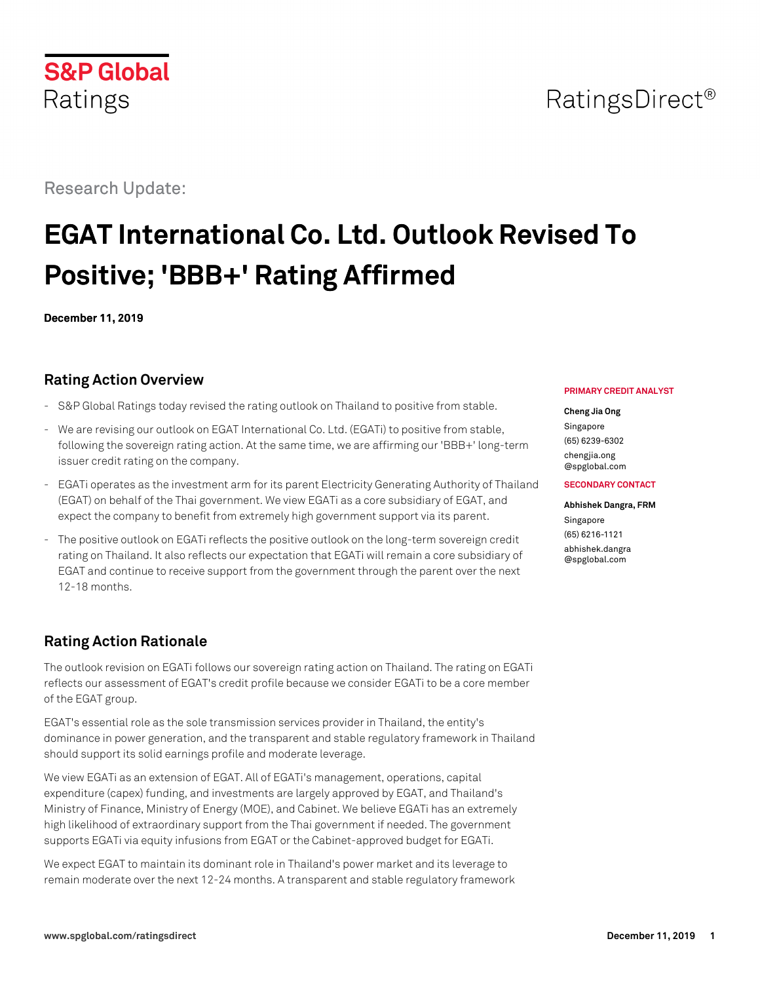# RatingsDirect<sup>®</sup>

# Research Update:

# **EGAT International Co. Ltd. Outlook Revised To Positive; 'BBB+' Rating Affirmed**

**December 11, 2019**

# **Rating Action Overview**

- S&P Global Ratings today revised the rating outlook on Thailand to positive from stable.
- We are revising our outlook on EGAT International Co. Ltd. (EGATi) to positive from stable, following the sovereign rating action. At the same time, we are affirming our 'BBB+' long-term issuer credit rating on the company.
- EGATi operates as the investment arm for its parent Electricity Generating Authority of Thailand (EGAT) on behalf of the Thai government. We view EGATi as a core subsidiary of EGAT, and expect the company to benefit from extremely high government support via its parent.
- The positive outlook on EGATi reflects the positive outlook on the long-term sovereign credit rating on Thailand. It also reflects our expectation that EGATi will remain a core subsidiary of EGAT and continue to receive support from the government through the parent over the next 12-18 months.

# **Rating Action Rationale**

The outlook revision on EGATi follows our sovereign rating action on Thailand. The rating on EGATi reflects our assessment of EGAT's credit profile because we consider EGATi to be a core member of the EGAT group.

EGAT's essential role as the sole transmission services provider in Thailand, the entity's dominance in power generation, and the transparent and stable regulatory framework in Thailand should support its solid earnings profile and moderate leverage.

We view EGATi as an extension of EGAT. All of EGATi's management, operations, capital expenditure (capex) funding, and investments are largely approved by EGAT, and Thailand's Ministry of Finance, Ministry of Energy (MOE), and Cabinet. We believe EGATi has an extremely high likelihood of extraordinary support from the Thai government if needed. The government supports EGATi via equity infusions from EGAT or the Cabinet-approved budget for EGATi.

We expect EGAT to maintain its dominant role in Thailand's power market and its leverage to remain moderate over the next 12-24 months. A transparent and stable regulatory framework

#### **PRIMARY CREDIT ANALYST**

#### **Cheng Jia Ong**

Singapore (65) 6239-6302 [chengjia.ong](mailto:chengjia.ong@spglobal.com) [@spglobal.com](mailto:chengjia.ong@spglobal.com)

#### **SECONDARY CONTACT**

#### **Abhishek Dangra, FRM** Singapore

(65) 6216-1121 [abhishek.dangra](mailto:abhishek.dangra@spglobal.com) [@spglobal.com](mailto:abhishek.dangra@spglobal.com)

# **S&P Global** Ratings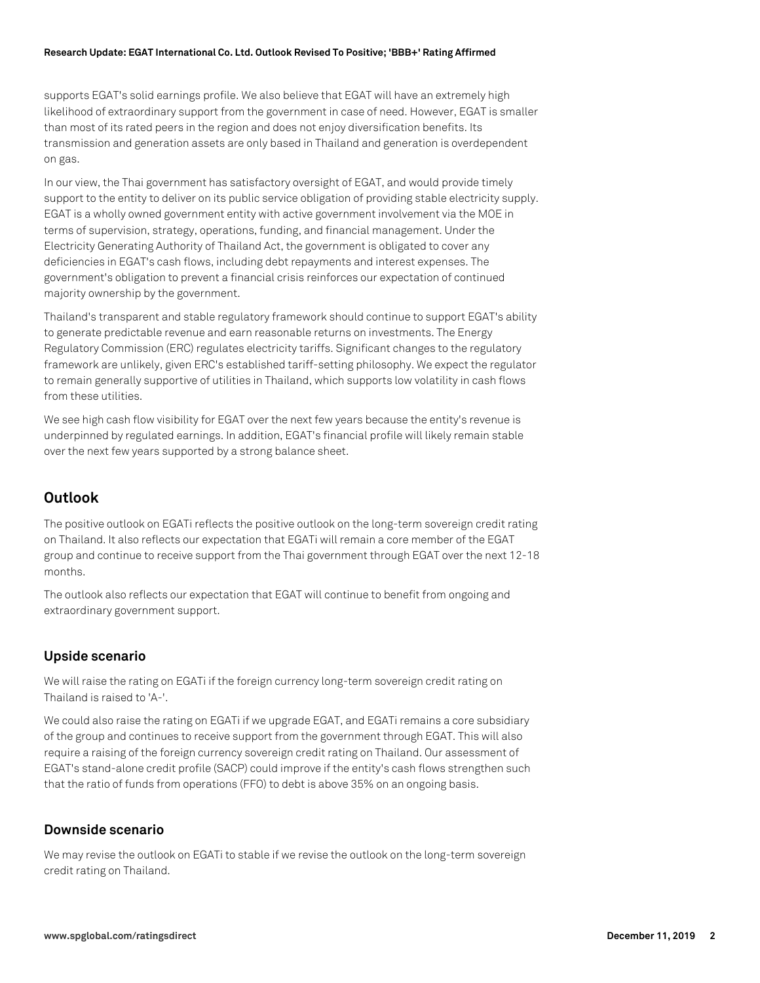#### **Research Update: EGAT International Co. Ltd. Outlook Revised To Positive; 'BBB+' Rating Affirmed**

supports EGAT's solid earnings profile. We also believe that EGAT will have an extremely high likelihood of extraordinary support from the government in case of need. However, EGAT is smaller than most of its rated peers in the region and does not enjoy diversification benefits. Its transmission and generation assets are only based in Thailand and generation is overdependent on gas.

In our view, the Thai government has satisfactory oversight of EGAT, and would provide timely support to the entity to deliver on its public service obligation of providing stable electricity supply. EGAT is a wholly owned government entity with active government involvement via the MOE in terms of supervision, strategy, operations, funding, and financial management. Under the Electricity Generating Authority of Thailand Act, the government is obligated to cover any deficiencies in EGAT's cash flows, including debt repayments and interest expenses. The government's obligation to prevent a financial crisis reinforces our expectation of continued majority ownership by the government.

Thailand's transparent and stable regulatory framework should continue to support EGAT's ability to generate predictable revenue and earn reasonable returns on investments. The Energy Regulatory Commission (ERC) regulates electricity tariffs. Significant changes to the regulatory framework are unlikely, given ERC's established tariff-setting philosophy. We expect the regulator to remain generally supportive of utilities in Thailand, which supports low volatility in cash flows from these utilities.

We see high cash flow visibility for EGAT over the next few years because the entity's revenue is underpinned by regulated earnings. In addition, EGAT's financial profile will likely remain stable over the next few years supported by a strong balance sheet.

## **Outlook**

The positive outlook on EGATi reflects the positive outlook on the long-term sovereign credit rating on Thailand. It also reflects our expectation that EGATi will remain a core member of the EGAT group and continue to receive support from the Thai government through EGAT over the next 12-18 months.

The outlook also reflects our expectation that EGAT will continue to benefit from ongoing and extraordinary government support.

#### **Upside scenario**

We will raise the rating on EGATi if the foreign currency long-term sovereign credit rating on Thailand is raised to 'A-'.

We could also raise the rating on EGATi if we upgrade EGAT, and EGATi remains a core subsidiary of the group and continues to receive support from the government through EGAT. This will also require a raising of the foreign currency sovereign credit rating on Thailand. Our assessment of EGAT's stand-alone credit profile (SACP) could improve if the entity's cash flows strengthen such that the ratio of funds from operations (FFO) to debt is above 35% on an ongoing basis.

#### **Downside scenario**

We may revise the outlook on EGATi to stable if we revise the outlook on the long-term sovereign credit rating on Thailand.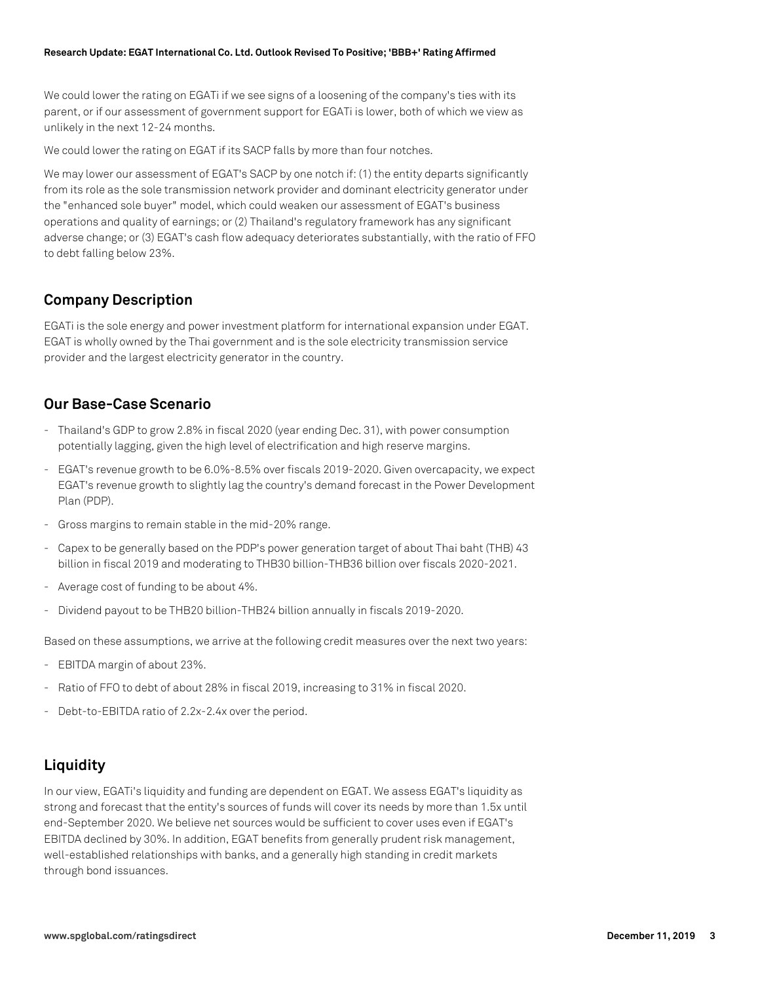#### **Research Update: EGAT International Co. Ltd. Outlook Revised To Positive; 'BBB+' Rating Affirmed**

We could lower the rating on EGATi if we see signs of a loosening of the company's ties with its parent, or if our assessment of government support for EGATi is lower, both of which we view as unlikely in the next 12-24 months.

We could lower the rating on EGAT if its SACP falls by more than four notches.

We may lower our assessment of EGAT's SACP by one notch if: (1) the entity departs significantly from its role as the sole transmission network provider and dominant electricity generator under the "enhanced sole buyer" model, which could weaken our assessment of EGAT's business operations and quality of earnings; or (2) Thailand's regulatory framework has any significant adverse change; or (3) EGAT's cash flow adequacy deteriorates substantially, with the ratio of FFO to debt falling below 23%.

### **Company Description**

EGATi is the sole energy and power investment platform for international expansion under EGAT. EGAT is wholly owned by the Thai government and is the sole electricity transmission service provider and the largest electricity generator in the country.

#### **Our Base-Case Scenario**

- Thailand's GDP to grow 2.8% in fiscal 2020 (year ending Dec. 31), with power consumption potentially lagging, given the high level of electrification and high reserve margins.
- EGAT's revenue growth to be 6.0%-8.5% over fiscals 2019-2020. Given overcapacity, we expect EGAT's revenue growth to slightly lag the country's demand forecast in the Power Development Plan (PDP).
- Gross margins to remain stable in the mid-20% range.
- Capex to be generally based on the PDP's power generation target of about Thai baht (THB) 43 billion in fiscal 2019 and moderating to THB30 billion-THB36 billion over fiscals 2020-2021.
- Average cost of funding to be about 4%.
- Dividend payout to be THB20 billion-THB24 billion annually in fiscals 2019-2020.

Based on these assumptions, we arrive at the following credit measures over the next two years:

- EBITDA margin of about 23%.
- Ratio of FFO to debt of about 28% in fiscal 2019, increasing to 31% in fiscal 2020.
- Debt-to-EBITDA ratio of 2.2x-2.4x over the period.

# **Liquidity**

In our view, EGATi's liquidity and funding are dependent on EGAT. We assess EGAT's liquidity as strong and forecast that the entity's sources of funds will cover its needs by more than 1.5x until end-September 2020. We believe net sources would be sufficient to cover uses even if EGAT's EBITDA declined by 30%. In addition, EGAT benefits from generally prudent risk management, well-established relationships with banks, and a generally high standing in credit markets through bond issuances.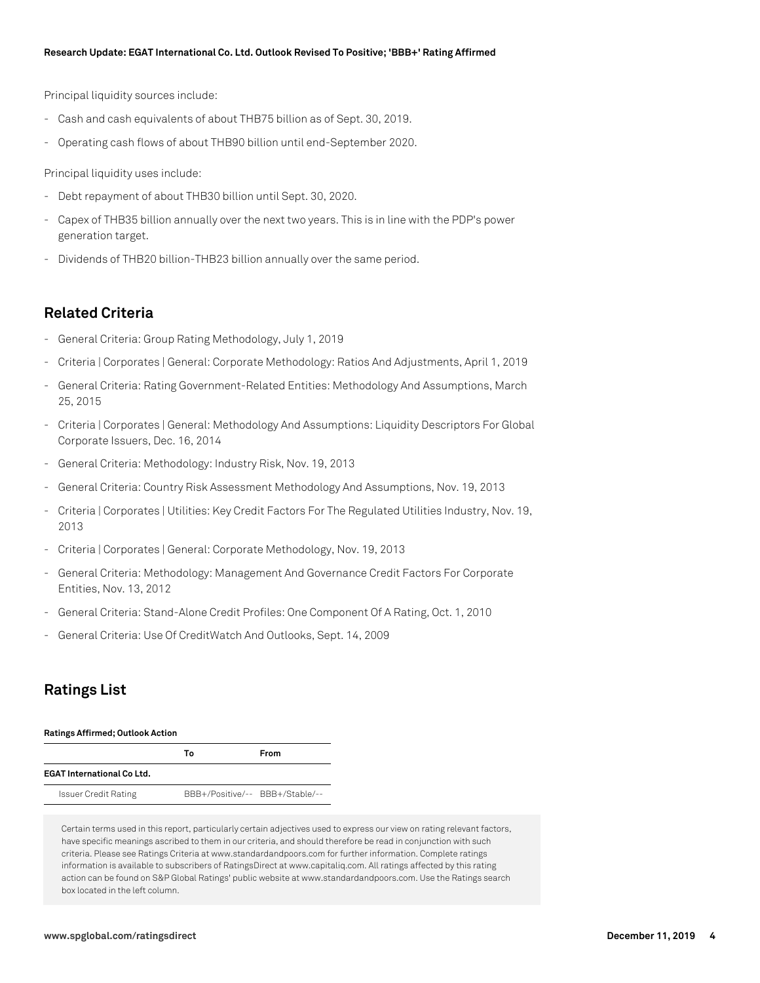Principal liquidity sources include:

- Cash and cash equivalents of about THB75 billion as of Sept. 30, 2019.
- Operating cash flows of about THB90 billion until end-September 2020.

Principal liquidity uses include:

- Debt repayment of about THB30 billion until Sept. 30, 2020.
- Capex of THB35 billion annually over the next two years. This is in line with the PDP's power generation target.
- Dividends of THB20 billion-THB23 billion annually over the same period.

#### **Related Criteria**

- General Criteria: Group Rating Methodology, July 1, 2019
- Criteria | Corporates | General: Corporate Methodology: Ratios And Adjustments, April 1, 2019
- General Criteria: Rating Government-Related Entities: Methodology And Assumptions, March 25, 2015
- Criteria | Corporates | General: Methodology And Assumptions: Liquidity Descriptors For Global Corporate Issuers, Dec. 16, 2014
- General Criteria: Methodology: Industry Risk, Nov. 19, 2013
- General Criteria: Country Risk Assessment Methodology And Assumptions, Nov. 19, 2013
- Criteria | Corporates | Utilities: Key Credit Factors For The Regulated Utilities Industry, Nov. 19, 2013
- Criteria | Corporates | General: Corporate Methodology, Nov. 19, 2013
- General Criteria: Methodology: Management And Governance Credit Factors For Corporate Entities, Nov. 13, 2012
- General Criteria: Stand-Alone Credit Profiles: One Component Of A Rating, Oct. 1, 2010
- General Criteria: Use Of CreditWatch And Outlooks, Sept. 14, 2009

### **Ratings List**

#### **Ratings Affirmed; Outlook Action**

|                                   | Т٥                              | From |
|-----------------------------------|---------------------------------|------|
| <b>EGAT International Co Ltd.</b> |                                 |      |
| <b>Issuer Credit Rating</b>       | BBB+/Positive/-- BBB+/Stable/-- |      |

Certain terms used in this report, particularly certain adjectives used to express our view on rating relevant factors, have specific meanings ascribed to them in our criteria, and should therefore be read in conjunction with such criteria. Please see Ratings Criteria at www.standardandpoors.com for further information. Complete ratings information is available to subscribers of RatingsDirect at www.capitaliq.com. All ratings affected by this rating action can be found on S&P Global Ratings' public website at www.standardandpoors.com. Use the Ratings search box located in the left column.